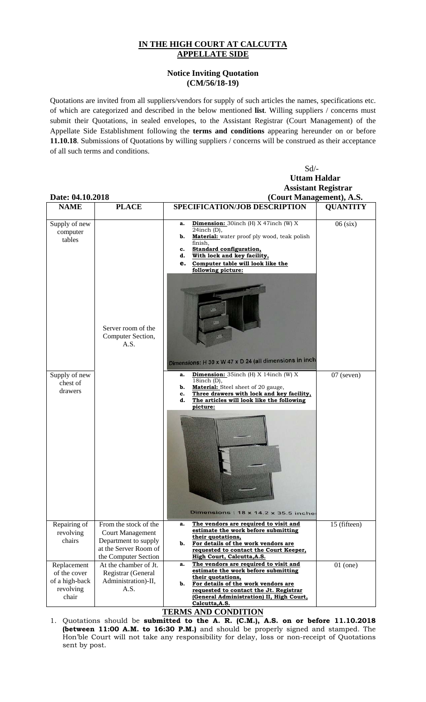## **IN THE HIGH COURT AT CALCUTTA APPELLATE SIDE**

## **Notice Inviting Quotation (CM/56/18-19)**

Quotations are invited from all suppliers/vendors for supply of such articles the names, specifications etc. of which are categorized and described in the below mentioned **list**. Willing suppliers / concerns must submit their Quotations, in sealed envelopes, to the Assistant Registrar (Court Management) of the Appellate Side Establishment following the **terms and conditions** appearing hereunder on or before **11.10.18**. Submissions of Quotations by willing suppliers / concerns will be construed as their acceptance of all such terms and conditions.

## Sd/- **Uttam Haldar Assistant Registrar Date: 04.10.2018** (Court Management), A.S.<br>
NAME | PLACE | SPECIFICATION/JOB DESCRIPTION | OUANTITY PLACE | SPECIFICATION/JOB DESCRIPTION | QUANTITY **a. Dimension:** 30inch (H) X 47inch (W) X Supply of new 06 (six) 24inch (D), computer **b.** Material: water proof ply wood, teak polish tables finish, **c. Standard configuration, d. With lock and key facility, e. Computer table will look like the following picture:** Server room of the Computer Section, A.S. Dimensions: H 30 x W 47 x D 24 (all dimensions in inch **Dimension:** 35inch (H) X 14inch (W) X 07 (seven) Supply of new 18inch (D), chest of **b. Material:** Steel sheet of 20 gauge, drawers **c. Three drawers with lock and key facility, d. The articles will look like the following picture:**  Dimensions : 18 x 14.2 x 35.5 inche Repairing of From the stock of the **a. The vendors are required to visit and**  15 (fifteen) **estimate the work before submitting**  revolving Court Management **their quotations,**  chairs Department to supply **b. For details of the work vendors are**  at the Server Room of **requested to contact the Court Keeper,**  the Computer Section **High Court, Calcutta,A.S. a. The vendors are required to visit and**  Replacement At the chamber of Jt. 01 (one) **estimate the work before submitting**  of the cover Registrar (General **their quotations,**  of a high-back Administration)-II, **b. For details of the work vendors are**  revolving A.S. **requested to contact the Jt. Registrar**  chair **(General Administration) II, High Court, Calcutta,A.S.**

## **TERMS AND CONDITION**

1. Quotations should be **submitted to the A. R. (C.M.), A.S. on or before 11.10.2018 (between 11:00 A.M. to 16:30 P.M.)** and should be properly signed and stamped. The Hon'ble Court will not take any responsibility for delay, loss or non-receipt of Quotations sent by post.